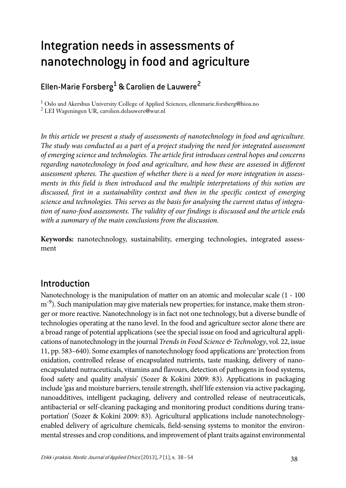# Integration needs in assessments of nanotechnology in food and agriculture

## Ellen-Marie Forsberg<sup>1</sup> & Carolien de Lauwere<sup>2</sup>

1 Oslo and Akershus University College of Applied Sciences, ellenmarie.forsberg@hioa.no

2 LEI Wageningen UR, carolien.delauwere@wur.nl

In this article we present a study of assessments of nanotechnology in food and agriculture. The study was conducted as a part of a project studying the need for integrated assessment of emerging science and technologies. The article first introduces central hopes and concerns regarding nanotechnology in food and agriculture, and how these are assessed in different assessment spheres. The question of whether there is a need for more integration in assessments in this field is then introduced and the multiple interpretations of this notion are discussed, first in a sustainability context and then in the specific context of emerging science and technologies. This serves as the basis for analysing the current status of integration of nano-food assessments. The validity of our findings is discussed and the article ends with a summary of the main conclusions from the discussion.

**Keywords:** nanotechnology, sustainability, emerging technologies, integrated assessment

## Introduction

Nanotechnology is the manipulation of matter on an atomic and molecular scale (1 - 100 m<sup>-9</sup>). Such manipulation may give materials new properties; for instance, make them stronger or more reactive. Nanotechnology is in fact not one technology, but a diverse bundle of technologies operating at the nano level. In the food and agriculture sector alone there are a broad range of potential applications (see the special issue on food and agricultural applications of nanotechnology in the journal Trends in Food Science & Technology, vol. 22, issue 11, pp. 583–640). Some examples of nanotechnology food applications are 'protection from oxidation, controlled release of encapsulated nutrients, taste masking, delivery of nanoencapsulated nutraceuticals, vitamins and flavours, detection of pathogens in food systems, food safety and quality analysis' (Sozer & Kokini 2009: 83). Applications in packaging include 'gas and moisture barriers, tensile strength, shelf life extension via active packaging, nanoadditives, intelligent packaging, delivery and controlled release of neutraceuticals, antibacterial or self-cleaning packaging and monitoring product conditions during transportation' (Sozer & Kokini 2009: 83). Agricultural applications include nanotechnologyenabled delivery of agriculture chemicals, field-sensing systems to monitor the environmental stresses and crop conditions, and improvement of plant traits against environmental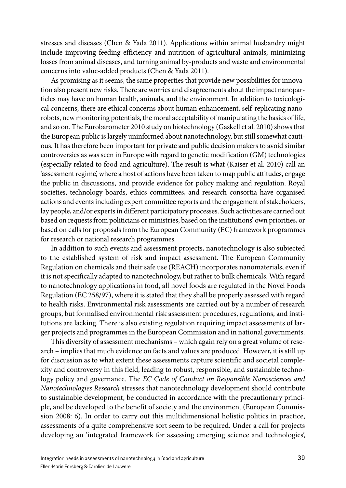stresses and diseases (Chen & Yada 2011). Applications within animal husbandry might include improving feeding efficiency and nutrition of agricultural animals, minimizing losses from animal diseases, and turning animal by-products and waste and environmental concerns into value-added products (Chen & Yada 2011).

As promising as it seems, the same properties that provide new possibilities for innovation also present new risks. There are worries and disagreements about the impact nanoparticles may have on human health, animals, and the environment. In addition to toxicological concerns, there are ethical concerns about human enhancement, self-replicating nanorobots, new monitoring potentials, the moral acceptability of manipulating the basics of life, and so on. The Eurobarometer 2010 study on biotechnology (Gaskell et al. 2010) shows that the European public is largely uninformed about nanotechnology, but still somewhat cautious. It has therefore been important for private and public decision makers to avoid similar controversies as was seen in Europe with regard to genetic modification (GM) technologies (especially related to food and agriculture). The result is what (Kaiser et al. 2010) call an 'assessment regime', where a host of actions have been taken to map public attitudes, engage the public in discussions, and provide evidence for policy making and regulation. Royal societies, technology boards, ethics committees, and research consortia have organised actions and events including expert committee reports and the engagement of stakeholders, lay people, and/or experts in different participatory processes. Such activities are carried out based on requests from politicians or ministries, based on the institutions' own priorities, or based on calls for proposals from the European Community (EC) framework programmes for research or national research programmes.

In addition to such events and assessment projects, nanotechnology is also subjected to the established system of risk and impact assessment. The European Community Regulation on chemicals and their safe use (REACH) incorporates nanomaterials, even if it is not specifically adapted to nanotechnology, but rather to bulk chemicals. With regard to nanotechnology applications in food, all novel foods are regulated in the Novel Foods Regulation (EC 258/97), where it is stated that they shall be properly assessed with regard to health risks. Environmental risk assessments are carried out by a number of research groups, but formalised environmental risk assessment procedures, regulations, and institutions are lacking. There is also existing regulation requiring impact assessments of larger projects and programmes in the European Commission and in national governments.

This diversity of assessment mechanisms – which again rely on a great volume of research – implies that much evidence on facts and values are produced. However, it is still up for discussion as to what extent these assessments capture scientific and societal complexity and controversy in this field, leading to robust, responsible, and sustainable technology policy and governance. The EC Code of Conduct on Responsible Nanosciences and Nanotechnologies Research stresses that nanotechnology development should contribute to sustainable development, be conducted in accordance with the precautionary principle, and be developed to the benefit of society and the environment (European Commission 2008: 6). In order to carry out this multidimensional holistic politics in practice, assessments of a quite comprehensive sort seem to be required. Under a call for projects developing an 'integrated framework for assessing emerging science and technologies',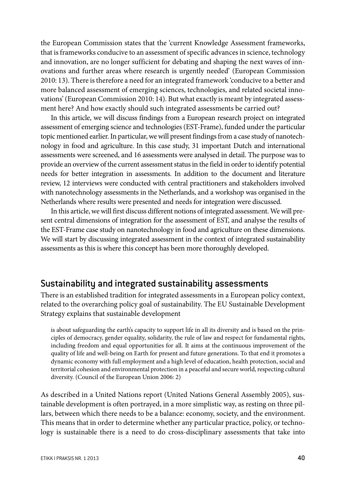the European Commission states that the 'current Knowledge Assessment frameworks, that is frameworks conducive to an assessment of specific advances in science, technology and innovation, are no longer sufficient for debating and shaping the next waves of innovations and further areas where research is urgently needed' (European Commission 2010: 13). There is therefore a need for an integrated framework 'conducive to a better and more balanced assessment of emerging sciences, technologies, and related societal innovations' (European Commission 2010: 14). But what exactly is meant by integrated assessment here? And how exactly should such integrated assessments be carried out?

In this article, we will discuss findings from a European research project on integrated assessment of emerging science and technologies (EST-Frame), funded under the particular topic mentioned earlier. In particular, we will present findings from a case study of nanotechnology in food and agriculture. In this case study, 31 important Dutch and international assessments were screened, and 16 assessments were analysed in detail. The purpose was to provide an overview of the current assessment status in the field in order to identify potential needs for better integration in assessments. In addition to the document and literature review, 12 interviews were conducted with central practitioners and stakeholders involved with nanotechnology assessments in the Netherlands, and a workshop was organised in the Netherlands where results were presented and needs for integration were discussed.

In this article, we will first discuss different notions of integrated assessment. We will present central dimensions of integration for the assessment of EST, and analyse the results of the EST-Frame case study on nanotechnology in food and agriculture on these dimensions. We will start by discussing integrated assessment in the context of integrated sustainability assessments as this is where this concept has been more thoroughly developed.

#### Sustainability and integrated sustainability assessments

There is an established tradition for integrated assessments in a European policy context, related to the overarching policy goal of sustainability. The EU Sustainable Development Strategy explains that sustainable development

is about safeguarding the earth's capacity to support life in all its diversity and is based on the principles of democracy, gender equality, solidarity, the rule of law and respect for fundamental rights, including freedom and equal opportunities for all. It aims at the continuous improvement of the quality of life and well-being on Earth for present and future generations. To that end it promotes a dynamic economy with full employment and a high level of education, health protection, social and territorial cohesion and environmental protection in a peaceful and secure world, respecting cultural diversity. (Council of the European Union 2006: 2)

As described in a United Nations report (United Nations General Assembly 2005), sustainable development is often portrayed, in a more simplistic way, as resting on three pillars, between which there needs to be a balance: economy, society, and the environment. This means that in order to determine whether any particular practice, policy, or technology is sustainable there is a need to do cross-disciplinary assessments that take into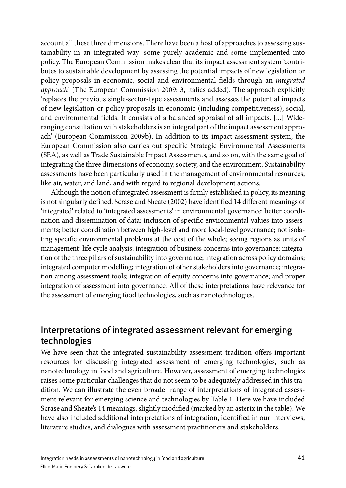account all these three dimensions. There have been a host of approaches to assessing sustainability in an integrated way: some purely academic and some implemented into policy. The European Commission makes clear that its impact assessment system 'contributes to sustainable development by assessing the potential impacts of new legislation or policy proposals in economic, social and environmental fields through an integrated approach' (The European Commission 2009: 3, italics added). The approach explicitly 'replaces the previous single-sector-type assessments and assesses the potential impacts of new legislation or policy proposals in economic (including competitiveness), social, and environmental fields. It consists of a balanced appraisal of all impacts. [...] Wideranging consultation with stakeholders is an integral part of the impact assessment approach' (European Commission 2009b). In addition to its impact assessment system, the European Commission also carries out specific Strategic Environmental Assessments (SEA), as well as Trade Sustainable Impact Assessments, and so on, with the same goal of integrating the three dimensions of economy, society, and the environment. Sustainability assessments have been particularly used in the management of environmental resources, like air, water, and land, and with regard to regional development actions.

Although the notion of integrated assessment is firmly established in policy, its meaning is not singularly defined. Scrase and Sheate (2002) have identified 14 different meanings of 'integrated' related to 'integrated assessments' in environmental governance: better coordination and dissemination of data; inclusion of specific environmental values into assessments; better coordination between high-level and more local-level governance; not isolating specific environmental problems at the cost of the whole; seeing regions as units of management; life cycle analysis; integration of business concerns into governance; integration of the three pillars of sustainability into governance; integration across policy domains; integrated computer modelling; integration of other stakeholders into governance; integration among assessment tools; integration of equity concerns into governance; and proper integration of assessment into governance. All of these interpretations have relevance for the assessment of emerging food technologies, such as nanotechnologies.

## Interpretations of integrated assessment relevant for emerging technologies

We have seen that the integrated sustainability assessment tradition offers important resources for discussing integrated assessment of emerging technologies, such as nanotechnology in food and agriculture. However, assessment of emerging technologies raises some particular challenges that do not seem to be adequately addressed in this tradition. We can illustrate the even broader range of interpretations of integrated assessment relevant for emerging science and technologies by Table 1. Here we have included Scrase and Sheate's 14 meanings, slightly modified (marked by an asterix in the table). We have also included additional interpretations of integration, identified in our interviews, literature studies, and dialogues with assessment practitioners and stakeholders.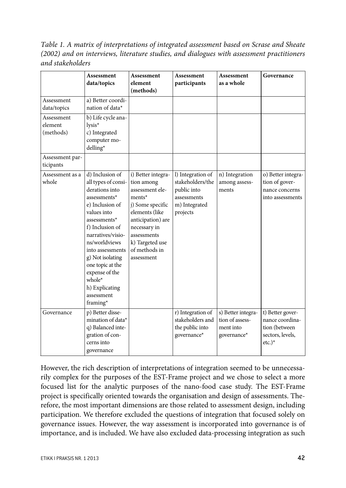Table 1. A matrix of interpretations of integrated assessment based on Scrase and Sheate (2002) and on interviews, literature studies, and dialogues with assessment practitioners and stakeholders

|                                    | Assessment<br>data/topics                                                                                                                                                                                                                                                                                               | Assessment<br>element<br>(methods)                                                                                                                                                                          | Assessment<br>participants                                                                       | Assessment<br>as a whole                                          | Governance                                                                                      |
|------------------------------------|-------------------------------------------------------------------------------------------------------------------------------------------------------------------------------------------------------------------------------------------------------------------------------------------------------------------------|-------------------------------------------------------------------------------------------------------------------------------------------------------------------------------------------------------------|--------------------------------------------------------------------------------------------------|-------------------------------------------------------------------|-------------------------------------------------------------------------------------------------|
| Assessment<br>data/topics          | a) Better coordi-<br>nation of data*                                                                                                                                                                                                                                                                                    |                                                                                                                                                                                                             |                                                                                                  |                                                                   |                                                                                                 |
| Assessment<br>element<br>(methods) | b) Life cycle ana-<br>$lysis*$<br>c) Integrated<br>computer mo-<br>delling*                                                                                                                                                                                                                                             |                                                                                                                                                                                                             |                                                                                                  |                                                                   |                                                                                                 |
| Assessment par-<br>ticipants       |                                                                                                                                                                                                                                                                                                                         |                                                                                                                                                                                                             |                                                                                                  |                                                                   |                                                                                                 |
| Assessment as a<br>whole           | d) Inclusion of<br>all types of consi-<br>derations into<br>assessments*<br>e) Inclusion of<br>values into<br>assessments*<br>f) Inclusion of<br>narratives/visio-<br>ns/worldviews<br>into assessments<br>g) Not isolating<br>one topic at the<br>expense of the<br>whole*<br>h) Explicating<br>assessment<br>framing* | i) Better integra-<br>tion among<br>assessment ele-<br>$ments*$<br>j) Some specific<br>elements (like<br>anticipation) are<br>necessary in<br>assessments<br>k) Targeted use<br>of methods in<br>assessment | l) Integration of<br>stakeholders/the<br>public into<br>assessments<br>m) Integrated<br>projects | n) Integration<br>among assess-<br>ments                          | o) Better integra-<br>tion of gover-<br>nance concerns<br>into assessments                      |
| Governance                         | p) Better disse-<br>mination of data*<br>q) Balanced inte-<br>gration of con-<br>cerns into<br>governance                                                                                                                                                                                                               |                                                                                                                                                                                                             | r) Integration of<br>stakeholders and<br>the public into<br>governance*                          | s) Better integra-<br>tion of assess-<br>ment into<br>governance* | t) Better gover-<br>nance coordina-<br>tion (between<br>sectors, levels,<br>$etc.$ <sup>*</sup> |

However, the rich description of interpretations of integration seemed to be unnecessarily complex for the purposes of the EST-Frame project and we chose to select a more focused list for the analytic purposes of the nano-food case study. The EST-Frame project is specifically oriented towards the organisation and design of assessments. Therefore, the most important dimensions are those related to assessment design, including participation. We therefore excluded the questions of integration that focused solely on governance issues. However, the way assessment is incorporated into governance is of importance, and is included. We have also excluded data-processing integration as such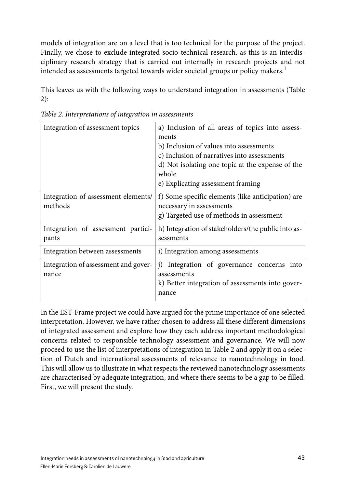models of integration are on a level that is too technical for the purpose of the project. Finally, we chose to exclude integrated socio-technical research, as this is an interdisciplinary research strategy that is carried out internally in research projects and not intended as assessments targeted towards wider societal groups or policy makers.<sup>1</sup>

This leaves us with the following ways to understand integration in assessments (Table 2):

| Integration of assessment topics               | a) Inclusion of all areas of topics into assess-<br>ments<br>b) Inclusion of values into assessments<br>c) Inclusion of narratives into assessments<br>d) Not isolating one topic at the expense of the<br>whole<br>e) Explicating assessment framing |
|------------------------------------------------|-------------------------------------------------------------------------------------------------------------------------------------------------------------------------------------------------------------------------------------------------------|
| Integration of assessment elements/<br>methods | f) Some specific elements (like anticipation) are<br>necessary in assessments<br>g) Targeted use of methods in assessment                                                                                                                             |
| Integration of assessment partici-<br>pants    | h) Integration of stakeholders/the public into as-<br>sessments                                                                                                                                                                                       |
| Integration between assessments                | i) Integration among assessments                                                                                                                                                                                                                      |
| Integration of assessment and gover-<br>nance  | Integration of governance concerns into<br>i)<br>assessments<br>k) Better integration of assessments into gover-<br>nance                                                                                                                             |

Table 2. Interpretations of integration in assessments

In the EST-Frame project we could have argued for the prime importance of one selected interpretation. However, we have rather chosen to address all these different dimensions of integrated assessment and explore how they each address important methodological concerns related to responsible technology assessment and governance. We will now proceed to use the list of interpretations of integration in Table 2 and apply it on a selection of Dutch and international assessments of relevance to nanotechnology in food. This will allow us to illustrate in what respects the reviewed nanotechnology assessments are characterised by adequate integration, and where there seems to be a gap to be filled. First, we will present the study.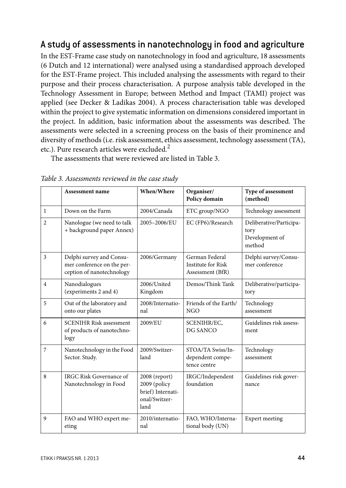## A study of assessments in nanotechnology in food and agriculture

In the EST-Frame case study on nanotechnology in food and agriculture, 18 assessments (6 Dutch and 12 international) were analysed using a standardised approach developed for the EST-Frame project. This included analysing the assessments with regard to their purpose and their process characterisation. A purpose analysis table developed in the Technology Assessment in Europe; between Method and Impact (TAMI) project was applied (see Decker & Ladikas 2004). A process characterisation table was developed within the project to give systematic information on dimensions considered important in the project. In addition, basic information about the assessments was described. The assessments were selected in a screening process on the basis of their prominence and diversity of methods (i.e. risk assessment, ethics assessment, technology assessment (TA), etc.). Pure research articles were excluded.<sup>2</sup>

The assessments that were reviewed are listed in Table 3.

|                | <b>Assessment name</b>                                                              | When/Where                                                                  | Organiser/<br>Policy domain                                     | Type of assessment<br>(method)                              |
|----------------|-------------------------------------------------------------------------------------|-----------------------------------------------------------------------------|-----------------------------------------------------------------|-------------------------------------------------------------|
| $\mathbf{1}$   | Down on the Farm                                                                    | 2004/Canada                                                                 | ETC group/NGO                                                   | Technology assessment                                       |
| $\overline{c}$ | Nanologue (we need to talk<br>+ background paper Annex)                             | 2005-2006/EU                                                                | EC (FP6)/Research                                               | Deliberative/Participa-<br>tory<br>Development of<br>method |
| 3              | Delphi survey and Consu-<br>mer conference on the per-<br>ception of nanotechnology | 2006/Germany                                                                | German Federal<br><b>Institute for Risk</b><br>Assessment (BfR) | Delphi survey/Consu-<br>mer conference                      |
| $\overline{4}$ | Nanodialogues<br>(experiments 2 and 4)                                              | 2006/United<br>Kingdom                                                      | Demos/Think Tank                                                | Deliberative/participa-<br>tory                             |
| 5              | Out of the laboratory and<br>onto our plates                                        | 2008/Internatio-<br>nal                                                     | Friends of the Earth/<br><b>NGO</b>                             | Technology<br>assessment                                    |
| 6              | <b>SCENIHR Risk assessment</b><br>of products of nanotechno-<br>logy                | 2009/EU                                                                     | <b>SCENIHR/EC.</b><br>DG SANCO                                  | Guidelines risk assess-<br>ment                             |
| 7              | Nanotechnology in the Food<br>Sector. Study.                                        | 2009/Switzer-<br>land                                                       | STOA/TA Swiss/In-<br>dependent compe-<br>tence centre           | Technology<br>assessment                                    |
| 8              | <b>IRGC Risk Governance of</b><br>Nanotechnology in Food                            | 2008 (report)<br>2009 (policy<br>brief) Internati-<br>onal/Switzer-<br>land | IRGC/Independent<br>foundation                                  | Guidelines risk gover-<br>nance                             |
| 9              | FAO and WHO expert me-<br>eting                                                     | 2010/internatio-<br>nal                                                     | FAO, WHO/Interna-<br>tional body (UN)                           | Expert meeting                                              |

Table 3. Assessments reviewed in the case study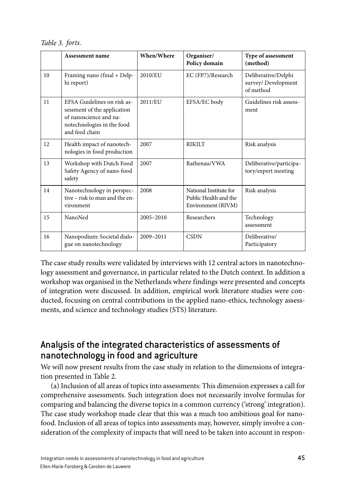Table 3. forts.

|    | <b>Assessment name</b>                                                                                                               | When/Where    | Organiser/<br>Policy domain                                           | Type of assessment<br>(method)                          |
|----|--------------------------------------------------------------------------------------------------------------------------------------|---------------|-----------------------------------------------------------------------|---------------------------------------------------------|
| 10 | Framing nano (final + Delp-<br>hi report)                                                                                            | 2010/EU       | EC (FP7)/Research                                                     | Deliberative/Delphi<br>survey/ Development<br>of method |
| 11 | EFSA Guidelines on risk as-<br>sessment of the application<br>of nanoscience and na-<br>notechnologies in the food<br>and feed chain | 2011/EU       | EFSA/EC body                                                          | Guidelines risk assess-<br>ment                         |
| 12 | Health impact of nanotech-<br>nologies in food production                                                                            | 2007          | <b>RIKILT</b>                                                         | Risk analysis                                           |
| 13 | Workshop with Dutch Food<br>Safety Agency of nano-food<br>safety                                                                     | 2007          | Rathenau/VWA                                                          | Deliberative/participa-<br>tory/expert meeting          |
| 14 | Nanotechnology in perspec-<br>tive – risk to man and the en-<br>vironment                                                            | 2008          | National Institute for<br>Public Health and the<br>Environment (RIVM) | Risk analysis                                           |
| 15 | NanoNed                                                                                                                              | $2005 - 2010$ | Researchers                                                           | Technology<br>assessment                                |
| 16 | Nanopodium: Societal dialo-<br>gue on nanotechnology                                                                                 | 2009-2011     | <b>CSDN</b>                                                           | Deliberative/<br>Participatory                          |

The case study results were validated by interviews with 12 central actors in nanotechnology assessment and governance, in particular related to the Dutch context. In addition a workshop was organised in the Netherlands where findings were presented and concepts of integration were discussed. In addition, empirical work literature studies were conducted, focusing on central contributions in the applied nano-ethics, technology assessments, and science and technology studies (STS) literature.

## Analysis of the integrated characteristics of assessments of nanotechnology in food and agriculture

We will now present results from the case study in relation to the dimensions of integration presented in Table 2.

(a) Inclusion of all areas of topics into assessments: This dimension expresses a call for comprehensive assessments. Such integration does not necessarily involve formulas for comparing and balancing the diverse topics in a common currency ('strong' integration). The case study workshop made clear that this was a much too ambitious goal for nanofood. Inclusion of all areas of topics into assessments may, however, simply involve a consideration of the complexity of impacts that will need to be taken into account in respon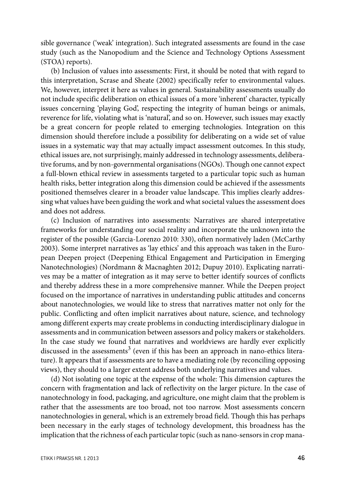sible governance ('weak' integration). Such integrated assessments are found in the case study (such as the Nanopodium and the Science and Technology Options Assessment (STOA) reports).

(b) Inclusion of values into assessments: First, it should be noted that with regard to this interpretation, Scrase and Sheate (2002) specifically refer to environmental values. We, however, interpret it here as values in general. Sustainability assessments usually do not include specific deliberation on ethical issues of a more 'inherent' character, typically issues concerning 'playing God', respecting the integrity of human beings or animals, reverence for life, violating what is 'natural', and so on. However, such issues may exactly be a great concern for people related to emerging technologies. Integration on this dimension should therefore include a possibility for deliberating on a wide set of value issues in a systematic way that may actually impact assessment outcomes. In this study, ethical issues are, not surprisingly, mainly addressed in technology assessments, deliberative forums, and by non-governmental organisations (NGOs). Though one cannot expect a full-blown ethical review in assessments targeted to a particular topic such as human health risks, better integration along this dimension could be achieved if the assessments positioned themselves clearer in a broader value landscape. This implies clearly addressing what values have been guiding the work and what societal values the assessment does and does not address.

(c) Inclusion of narratives into assessments: Narratives are shared interpretative frameworks for understanding our social reality and incorporate the unknown into the register of the possible (Garcia-Lorenzo 2010: 330), often normatively laden (McCarthy 2003). Some interpret narratives as 'lay ethics' and this approach was taken in the European Deepen project (Deepening Ethical Engagement and Participation in Emerging Nanotechnologies) (Nordmann & Macnaghten 2012; Dupuy 2010). Explicating narratives may be a matter of integration as it may serve to better identify sources of conflicts and thereby address these in a more comprehensive manner. While the Deepen project focused on the importance of narratives in understanding public attitudes and concerns about nanotechnologies, we would like to stress that narratives matter not only for the public. Conflicting and often implicit narratives about nature, science, and technology among different experts may create problems in conducting interdisciplinary dialogue in assessments and in communication between assessors and policy makers or stakeholders. In the case study we found that narratives and worldviews are hardly ever explicitly discussed in the assessments<sup>3</sup> (even if this has been an approach in nano-ethics literature). It appears that if assessments are to have a mediating role (by reconciling opposing views), they should to a larger extent address both underlying narratives and values.

(d) Not isolating one topic at the expense of the whole: This dimension captures the concern with fragmentation and lack of reflectivity on the larger picture. In the case of nanotechnology in food, packaging, and agriculture, one might claim that the problem is rather that the assessments are too broad, not too narrow. Most assessments concern nanotechnologies in general, which is an extremely broad field. Though this has perhaps been necessary in the early stages of technology development, this broadness has the implication that the richness of each particular topic (such as nano-sensors in crop mana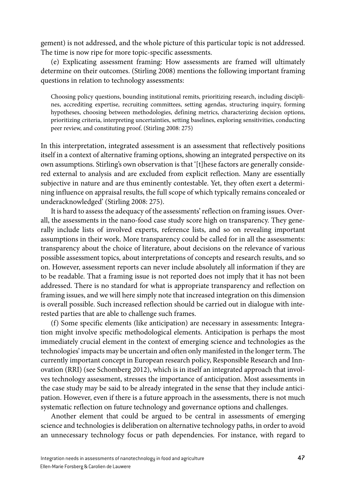gement) is not addressed, and the whole picture of this particular topic is not addressed. The time is now ripe for more topic-specific assessments.

(e) Explicating assessment framing: How assessments are framed will ultimately determine on their outcomes. (Stirling 2008) mentions the following important framing questions in relation to technology assessments:

Choosing policy questions, bounding institutional remits, prioritizing research, including disciplines, accrediting expertise, recruiting committees, setting agendas, structuring inquiry, forming hypotheses, choosing between methodologies, defining metrics, characterizing decision options, prioritizing criteria, interpreting uncertainties, setting baselines, exploring sensitivities, conducting peer review, and constituting proof. (Stirling 2008: 275)

In this interpretation, integrated assessment is an assessment that reflectively positions itself in a context of alternative framing options, showing an integrated perspective on its own assumptions. Stirling's own observation is that '[t]hese factors are generally considered external to analysis and are excluded from explicit reflection. Many are essentially subjective in nature and are thus eminently contestable. Yet, they often exert a determining influence on appraisal results, the full scope of which typically remains concealed or underacknowledged' (Stirling 2008: 275).

It is hard to assess the adequacy of the assessments' reflection on framing issues. Overall, the assessments in the nano-food case study score high on transparency. They generally include lists of involved experts, reference lists, and so on revealing important assumptions in their work. More transparency could be called for in all the assessments: transparency about the choice of literature, about decisions on the relevance of various possible assessment topics, about interpretations of concepts and research results, and so on. However, assessment reports can never include absolutely all information if they are to be readable. That a framing issue is not reported does not imply that it has not been addressed. There is no standard for what is appropriate transparency and reflection on framing issues, and we will here simply note that increased integration on this dimension is overall possible. Such increased reflection should be carried out in dialogue with interested parties that are able to challenge such frames.

(f) Some specific elements (like anticipation) are necessary in assessments: Integration might involve specific methodological elements. Anticipation is perhaps the most immediately crucial element in the context of emerging science and technologies as the technologies' impacts may be uncertain and often only manifested in the longer term. The currently important concept in European research policy, Responsible Research and Innovation (RRI) (see Schomberg 2012), which is in itself an integrated approach that involves technology assessment, stresses the importance of anticipation. Most assessments in the case study may be said to be already integrated in the sense that they include anticipation. However, even if there is a future approach in the assessments, there is not much systematic reflection on future technology and governance options and challenges.

Another element that could be argued to be central in assessments of emerging science and technologies is deliberation on alternative technology paths, in order to avoid an unnecessary technology focus or path dependencies. For instance, with regard to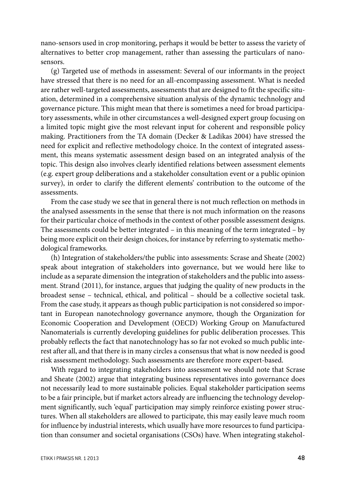nano-sensors used in crop monitoring, perhaps it would be better to assess the variety of alternatives to better crop management, rather than assessing the particulars of nanosensors.

(g) Targeted use of methods in assessment: Several of our informants in the project have stressed that there is no need for an all-encompassing assessment. What is needed are rather well-targeted assessments, assessments that are designed to fit the specific situation, determined in a comprehensive situation analysis of the dynamic technology and governance picture. This might mean that there is sometimes a need for broad participatory assessments, while in other circumstances a well-designed expert group focusing on a limited topic might give the most relevant input for coherent and responsible policy making. Practitioners from the TA domain (Decker & Ladikas 2004) have stressed the need for explicit and reflective methodology choice. In the context of integrated assessment, this means systematic assessment design based on an integrated analysis of the topic. This design also involves clearly identified relations between assessment elements (e.g. expert group deliberations and a stakeholder consultation event or a public opinion survey), in order to clarify the different elements' contribution to the outcome of the assessments.

From the case study we see that in general there is not much reflection on methods in the analysed assessments in the sense that there is not much information on the reasons for their particular choice of methods in the context of other possible assessment designs. The assessments could be better integrated – in this meaning of the term integrated – by being more explicit on their design choices, for instance by referring to systematic methodological frameworks.

(h) Integration of stakeholders/the public into assessments: Scrase and Sheate (2002) speak about integration of stakeholders into governance, but we would here like to include as a separate dimension the integration of stakeholders and the public into assessment. Strand (2011), for instance, argues that judging the quality of new products in the broadest sense – technical, ethical, and political – should be a collective societal task. From the case study, it appears as though public participation is not considered so important in European nanotechnology governance anymore, though the Organization for Economic Cooperation and Development (OECD) Working Group on Manufactured Nanomaterials is currently developing guidelines for public deliberation processes. This probably reflects the fact that nanotechnology has so far not evoked so much public interest after all, and that there is in many circles a consensus that what is now needed is good risk assessment methodology. Such assessments are therefore more expert-based.

With regard to integrating stakeholders into assessment we should note that Scrase and Sheate (2002) argue that integrating business representatives into governance does not necessarily lead to more sustainable policies. Equal stakeholder participation seems to be a fair principle, but if market actors already are influencing the technology development significantly, such 'equal' participation may simply reinforce existing power structures. When all stakeholders are allowed to participate, this may easily leave much room for influence by industrial interests, which usually have more resources to fund participation than consumer and societal organisations (CSOs) have. When integrating stakehol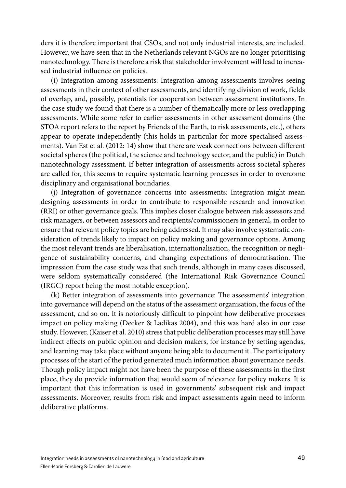ders it is therefore important that CSOs, and not only industrial interests, are included. However, we have seen that in the Netherlands relevant NGOs are no longer prioritising nanotechnology. There is therefore a risk that stakeholder involvement will lead to increased industrial influence on policies.

(i) Integration among assessments: Integration among assessments involves seeing assessments in their context of other assessments, and identifying division of work, fields of overlap, and, possibly, potentials for cooperation between assessment institutions. In the case study we found that there is a number of thematically more or less overlapping assessments. While some refer to earlier assessments in other assessment domains (the STOA report refers to the report by Friends of the Earth, to risk assessments, etc.), others appear to operate independently (this holds in particular for more specialised assessments). Van Est et al. (2012: 14) show that there are weak connections between different societal spheres (the political, the science and technology sector, and the public) in Dutch nanotechnology assessment. If better integration of assessments across societal spheres are called for, this seems to require systematic learning processes in order to overcome disciplinary and organisational boundaries.

(j) Integration of governance concerns into assessments: Integration might mean designing assessments in order to contribute to responsible research and innovation (RRI) or other governance goals. This implies closer dialogue between risk assessors and risk managers, or between assessors and recipients/commissioners in general, in order to ensure that relevant policy topics are being addressed. It may also involve systematic consideration of trends likely to impact on policy making and governance options. Among the most relevant trends are liberalisation, internationalisation, the recognition or negligence of sustainability concerns, and changing expectations of democratisation. The impression from the case study was that such trends, although in many cases discussed, were seldom systematically considered (the International Risk Governance Council (IRGC) report being the most notable exception).

(k) Better integration of assessments into governance: The assessments' integration into governance will depend on the status of the assessment organisation, the focus of the assessment, and so on. It is notoriously difficult to pinpoint how deliberative processes impact on policy making (Decker & Ladikas 2004), and this was hard also in our case study. However, (Kaiser et al. 2010) stress that public deliberation processes may still have indirect effects on public opinion and decision makers, for instance by setting agendas, and learning may take place without anyone being able to document it. The participatory processes of the start of the period generated much information about governance needs. Though policy impact might not have been the purpose of these assessments in the first place, they do provide information that would seem of relevance for policy makers. It is important that this information is used in governments' subsequent risk and impact assessments. Moreover, results from risk and impact assessments again need to inform deliberative platforms.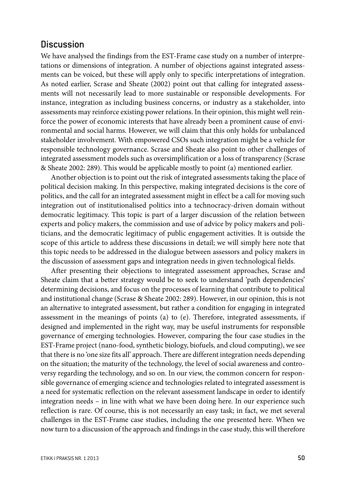#### **Discussion**

We have analysed the findings from the EST-Frame case study on a number of interpretations or dimensions of integration. A number of objections against integrated assessments can be voiced, but these will apply only to specific interpretations of integration. As noted earlier, Scrase and Sheate (2002) point out that calling for integrated assessments will not necessarily lead to more sustainable or responsible developments. For instance, integration as including business concerns, or industry as a stakeholder, into assessments may reinforce existing power relations. In their opinion, this might well reinforce the power of economic interests that have already been a prominent cause of environmental and social harms. However, we will claim that this only holds for unbalanced stakeholder involvement. With empowered CSOs such integration might be a vehicle for responsible technology governance. Scrase and Sheate also point to other challenges of integrated assessment models such as oversimplification or a loss of transparency (Scrase & Sheate 2002: 289). This would be applicable mostly to point (a) mentioned earlier.

Another objection is to point out the risk of integrated assessments taking the place of political decision making. In this perspective, making integrated decisions is the core of politics, and the call for an integrated assessment might in effect be a call for moving such integration out of institutionalised politics into a technocracy-driven domain without democratic legitimacy. This topic is part of a larger discussion of the relation between experts and policy makers, the commission and use of advice by policy makers and politicians, and the democratic legitimacy of public engagement activities. It is outside the scope of this article to address these discussions in detail; we will simply here note that this topic needs to be addressed in the dialogue between assessors and policy makers in the discussion of assessment gaps and integration needs in given technological fields.

After presenting their objections to integrated assessment approaches, Scrase and Sheate claim that a better strategy would be to seek to understand 'path dependencies' determining decisions, and focus on the processes of learning that contribute to political and institutional change (Scrase & Sheate 2002: 289). However, in our opinion, this is not an alternative to integrated assessment, but rather a condition for engaging in integrated assessment in the meanings of points (a) to (e). Therefore, integrated assessments, if designed and implemented in the right way, may be useful instruments for responsible governance of emerging technologies. However, comparing the four case studies in the EST-Frame project (nano-food, synthetic biology, biofuels, and cloud computing), we see that there is no 'one size fits all' approach. There are different integration needs depending on the situation; the maturity of the technology, the level of social awareness and controversy regarding the technology, and so on. In our view, the common concern for responsible governance of emerging science and technologies related to integrated assessment is a need for systematic reflection on the relevant assessment landscape in order to identify integration needs – in line with what we have been doing here. In our experience such reflection is rare. Of course, this is not necessarily an easy task; in fact, we met several challenges in the EST-Frame case studies, including the one presented here. When we now turn to a discussion of the approach and findings in the case study, this will therefore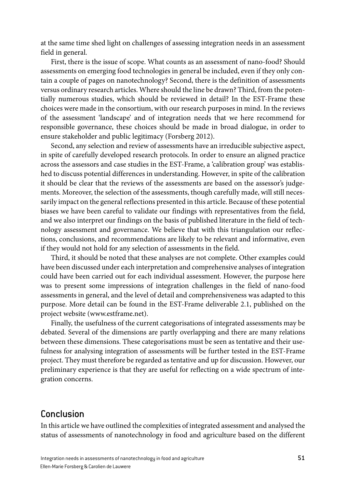at the same time shed light on challenges of assessing integration needs in an assessment field in general.

First, there is the issue of scope. What counts as an assessment of nano-food? Should assessments on emerging food technologies in general be included, even if they only contain a couple of pages on nanotechnology? Second, there is the definition of assessments versus ordinary research articles. Where should the line be drawn? Third, from the potentially numerous studies, which should be reviewed in detail? In the EST-Frame these choices were made in the consortium, with our research purposes in mind. In the reviews of the assessment 'landscape' and of integration needs that we here recommend for responsible governance, these choices should be made in broad dialogue, in order to ensure stakeholder and public legitimacy (Forsberg 2012).

Second, any selection and review of assessments have an irreducible subjective aspect, in spite of carefully developed research protocols. In order to ensure an aligned practice across the assessors and case studies in the EST-Frame, a 'calibration group' was established to discuss potential differences in understanding. However, in spite of the calibration it should be clear that the reviews of the assessments are based on the assessor's judgements. Moreover, the selection of the assessments, though carefully made, will still necessarily impact on the general reflections presented in this article. Because of these potential biases we have been careful to validate our findings with representatives from the field, and we also interpret our findings on the basis of published literature in the field of technology assessment and governance. We believe that with this triangulation our reflections, conclusions, and recommendations are likely to be relevant and informative, even if they would not hold for any selection of assessments in the field.

Third, it should be noted that these analyses are not complete. Other examples could have been discussed under each interpretation and comprehensive analyses of integration could have been carried out for each individual assessment. However, the purpose here was to present some impressions of integration challenges in the field of nano-food assessments in general, and the level of detail and comprehensiveness was adapted to this purpose. More detail can be found in the EST-Frame deliverable 2.1, published on the project website (www.estframe.net).

Finally, the usefulness of the current categorisations of integrated assessments may be debated. Several of the dimensions are partly overlapping and there are many relations between these dimensions. These categorisations must be seen as tentative and their usefulness for analysing integration of assessments will be further tested in the EST-Frame project. They must therefore be regarded as tentative and up for discussion. However, our preliminary experience is that they are useful for reflecting on a wide spectrum of integration concerns.

### Conclusion

In this article we have outlined the complexities of integrated assessment and analysed the status of assessments of nanotechnology in food and agriculture based on the different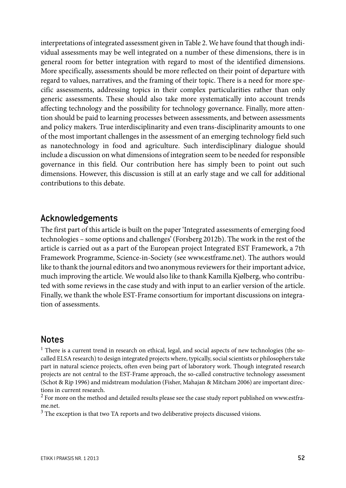interpretations of integrated assessment given in Table 2. We have found that though individual assessments may be well integrated on a number of these dimensions, there is in general room for better integration with regard to most of the identified dimensions. More specifically, assessments should be more reflected on their point of departure with regard to values, narratives, and the framing of their topic. There is a need for more specific assessments, addressing topics in their complex particularities rather than only generic assessments. These should also take more systematically into account trends affecting technology and the possibility for technology governance. Finally, more attention should be paid to learning processes between assessments, and between assessments and policy makers. True interdisciplinarity and even trans-disciplinarity amounts to one of the most important challenges in the assessment of an emerging technology field such as nanotechnology in food and agriculture. Such interdisciplinary dialogue should include a discussion on what dimensions of integration seem to be needed for responsible governance in this field. Our contribution here has simply been to point out such dimensions. However, this discussion is still at an early stage and we call for additional contributions to this debate.

### Acknowledgements

The first part of this article is built on the paper 'Integrated assessments of emerging food technologies – some options and challenges' (Forsberg 2012b). The work in the rest of the article is carried out as a part of the European project Integrated EST Framework, a 7th Framework Programme, Science-in-Society (see www.estframe.net). The authors would like to thank the journal editors and two anonymous reviewers for their important advice, much improving the article. We would also like to thank Kamilla Kjølberg, who contributed with some reviews in the case study and with input to an earlier version of the article. Finally, we thank the whole EST-Frame consortium for important discussions on integration of assessments.

## Notes

<sup>1</sup> There is a current trend in research on ethical, legal, and social aspects of new technologies (the socalled ELSA research) to design integrated projects where, typically, social scientists or philosophers take part in natural science projects, often even being part of laboratory work. Though integrated research projects are not central to the EST-Frame approach, the so-called constructive technology assessment (Schot & Rip 1996) and midstream modulation (Fisher, Mahajan & Mitcham 2006) are important directions in current research.

 $^2$  For more on the method and detailed results please see the case study report published on www.estframe.net.

 $^3$  The exception is that two TA reports and two deliberative projects discussed visions.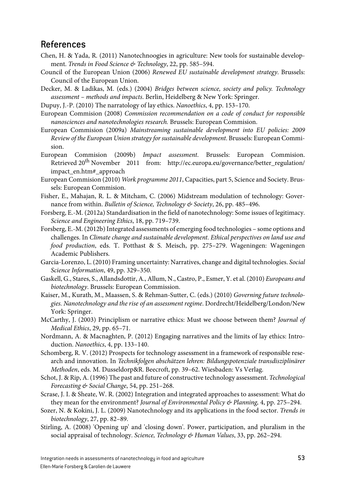## References

- Chen, H. & Yada, R. (2011) Nanotechnoogies in agriculture: New tools for sustainable development. Trends in Food Science & Technology, 22, pp. 585–594.
- Council of the European Union (2006) Renewed EU sustainable development strategy. Brussels: Council of the European Union.
- Decker, M. & Ladikas, M. (eds.) (2004) Bridges between science, society and policy. Technology assessment – methods and impacts. Berlin, Heidelberg & New York: Springer.
- Dupuy, J.-P. (2010) The narratology of lay ethics. Nanoethics, 4, pp. 153–170.
- European Commision (2008) Commission recommendation on a code of conduct for responsible nanosciences and nanotechnologies research. Brussels: European Commision.
- European Commision (2009a) Mainstreaming sustainable development into EU policies: 2009 Review of the European Union strategy for sustainable development. Brussels: European Commision.
- European Commision (2009b) Impact assessment. Brussels: European Commision. Retrieved 20<sup>th</sup> [November 2011 from: http://ec.europa.eu/governance/better\\_regulation/](http://ec.europa.eu/governance/better_regulation/impact_en.htm#_approach) impact\_en.htm#\_approach
- European Commision (2010) Work programme 2011, Capacities, part 5, Science and Society. Brussels: European Commision.
- Fisher, E., Mahajan, R. L. & Mitcham, C. (2006) Midstream modulation of technology: Governance from within. Bulletin of Science, Technology & Society, 26, pp. 485–496.
- Forsberg, E.-M. (2012a) Standardisation in the field of nanotechnology: Some issues of legitimacy. Science and Engineering Ethics, 18, pp. 719–739.
- Forsberg, E.-M. (2012b) Integrated assessments of emerging food technologies some options and challenges. In Climate change and sustainable development. Ethical perspectives on land use and food production, eds. T. Potthast & S. Meisch, pp. 275–279. Wageningen: Wageningen Academic Publishers.
- Garcia-Lorenzo, L. (2010) Framing uncertainty: Narratives, change and digital technologies. Social Science Information, 49, pp. 329–350.
- Gaskell, G., Stares, S., Allandsdottir, A., Allum, N., Castro, P., Esmer, Y. et al. (2010) Europeans and biotechnology. Brussels: European Commission.
- Kaiser, M., Kurath, M., Maassen, S. & Rehman-Sutter, C. (eds.) (2010) Governing future technologies. Nanotechnology and the rise of an assessment regime. Dordrecht/Heidelberg/London/New York: Springer.
- McCarthy, J. (2003) Principlism or narrative ethics: Must we choose between them? Journal of Medical Ethics, 29, pp. 65–71.
- Nordmann, A. & Macnaghten, P. (2012) Engaging narratives and the limits of lay ethics: Introduction. Nanoethics, 4, pp. 133–140.
- Schomberg, R. V. (2012) Prospects for technology assessment in a framework of responsible research and innovation. In Technikfolgen abschätzen lehren: Bildungspotenziale transdisziplinärer Methoden, eds. M. Dusseldorp&R. Beecroft, pp. 39–62. Wiesbaden: Vs Verlag.
- Schot, J. & Rip, A. (1996) The past and future of constructive technology assessment. Technological Forecasting & Social Change, 54, pp. 251–268.
- Scrase, J. I. & Sheate, W. R. (2002) Integration and integrated approaches to assessment: What do they mean for the environment? Journal of Environmental Policy & Planning, 4, pp. 275–294.
- Sozer, N. & Kokini, J. L. (2009) Nanotechnology and its applications in the food sector. Trends in biotechnology, 27, pp. 82–89.
- Stirling, A. (2008) 'Opening up' and 'closing down'. Power, participation, and pluralism in the social appraisal of technology. Science, Technology & Human Values, 33, pp. 262-294.